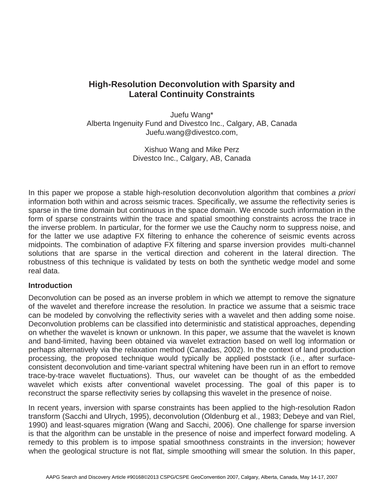# **High-Resolution Deconvolution with Sparsity and Lateral Continuity Constraints**

Juefu Wang\* Alberta Ingenuity Fund and Divestco Inc., Calgary, AB, Canada Juefu.wang@divestco.com,

> Xishuo Wang and Mike Perz Divestco Inc., Calgary, AB, Canada

In this paper we propose a stable high-resolution deconvolution algorithm that combines *a priori* information both within and across seismic traces. Specifically, we assume the reflectivity series is sparse in the time domain but continuous in the space domain. We encode such information in the form of sparse constraints within the trace and spatial smoothing constraints across the trace in the inverse problem. In particular, for the former we use the Cauchy norm to suppress noise, and for the latter we use adaptive FX filtering to enhance the coherence of seismic events across midpoints. The combination of adaptive FX filtering and sparse inversion provides multi-channel solutions that are sparse in the vertical direction and coherent in the lateral direction. The robustness of this technique is validated by tests on both the synthetic wedge model and some real data.

## **Introduction**

Deconvolution can be posed as an inverse problem in which we attempt to remove the signature of the wavelet and therefore increase the resolution. In practice we assume that a seismic trace can be modeled by convolving the reflectivity series with a wavelet and then adding some noise. Deconvolution problems can be classified into deterministic and statistical approaches, depending on whether the wavelet is known or unknown. In this paper, we assume that the wavelet is known and band-limited, having been obtained via wavelet extraction based on well log information or perhaps alternatively via the relaxation method (Canadas, 2002). In the context of land production processing, the proposed technique would typically be applied poststack (i.e., after surfaceconsistent deconvolution and time-variant spectral whitening have been run in an effort to remove trace-by-trace wavelet fluctuations). Thus, our wavelet can be thought of as the embedded wavelet which exists after conventional wavelet processing. The goal of this paper is to reconstruct the sparse reflectivity series by collapsing this wavelet in the presence of noise.

In recent years, inversion with sparse constraints has been applied to the high-resolution Radon transform (Sacchi and Ulrych, 1995), deconvolution (Oldenburg et al., 1983; Debeye and van Riel, 1990) and least-squares migration (Wang and Sacchi, 2006). One challenge for sparse inversion is that the algorithm can be unstable in the presence of noise and imperfect forward modeling. A remedy to this problem is to impose spatial smoothness constraints in the inversion; however when the geological structure is not flat, simple smoothing will smear the solution. In this paper,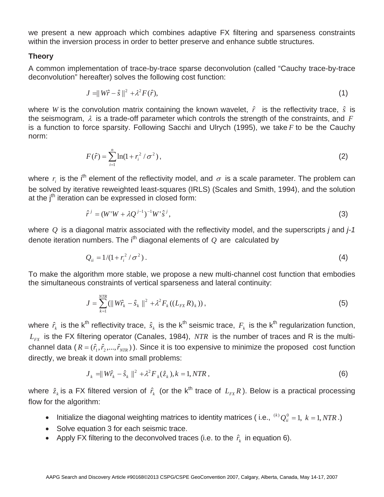we present a new approach which combines adaptive FX filtering and sparseness constraints within the inversion process in order to better preserve and enhance subtle structures.

## **Theory**

A common implementation of trace-by-trace sparse deconvolution (called "Cauchy trace-by-trace deconvolution" hereafter) solves the following cost function:

$$
J = ||W\hat{r} - \hat{s}||^2 + \lambda^2 F(\hat{r}), \qquad (1)
$$

where *W* is the convolution matrix containing the known wavelet,  $\hat{r}$  is the reflectivity trace,  $\hat{s}$  is the seismogram,  $\lambda$  is a trade-off parameter which controls the strength of the constraints, and  $F$ is a function to force sparsity. Following Sacchi and Ulrych (1995), we take *F* to be the Cauchy norm:

$$
F(\hat{r}) = \sum_{i=1}^{n} \ln(1 + r_i^2 / \sigma^2),
$$
 (2)

where  $r_i$  is the i<sup>th</sup> element of the reflectivity model, and  $\sigma$  is a scale parameter. The problem can be solved by iterative reweighted least-squares (IRLS) (Scales and Smith, 1994), and the solution at the  $i<sup>th</sup>$  iteration can be expressed in closed form:

$$
\hat{r}^j = (W^i W + \lambda Q^{j-1})^{-1} W^i \hat{s}^j,
$$
\n(3)

where *Q* is a diagonal matrix associated with the reflectivity model, and the superscripts *j* and *j-1* denote iteration numbers. The i<sup>th</sup> diagonal elements of  $Q$  are calculated by

$$
Q_{ii} = 1/(1 + r_i^2 / \sigma^2).
$$
 (4)

To make the algorithm more stable, we propose a new multi-channel cost function that embodies the simultaneous constraints of vertical sparseness and lateral continuity:

$$
J = \sum_{k=1}^{NTR} (||W\hat{r}_k - \hat{s}_k||^2 + \lambda^2 F_k((L_{FX}R)_k)),
$$
\n(5)

where  $\hat{r}_k$  is the k<sup>th</sup> reflectivity trace,  $\hat{s}_k$  is the k<sup>th</sup> seismic trace,  $F_k$  is the k<sup>th</sup> regularization function,  $L_{FX}$  is the FX filtering operator (Canales, 1984), *NTR* is the number of traces and R is the multichannel data  $(R = (\hat{r}_1, \hat{r}_2, ..., \hat{r}_{NTR})$ ). Since it is too expensive to minimize the proposed cost function directly, we break it down into small problems:

$$
J_k = ||W\hat{r}_k - \hat{s}_k||^2 + \lambda^2 F_k(\hat{z}_k), k = 1, NTR,
$$
\n(6)

where  $\hat{z}_k$  is a FX filtered version of  $\hat{r}_k$  (or the k<sup>th</sup> trace of  $L_{rx}R$ ). Below is a practical processing flow for the algorithm:

- Initialize the diagonal weighting matrices to identity matrices (i.e.,  ${}^{(k)}Q_{ii}^0 = 1, k = 1, NTR$ .)
- Solve equation 3 for each seismic trace.
- Apply FX filtering to the deconvolved traces (i.e. to the  $\hat{r}_k$  in equation 6).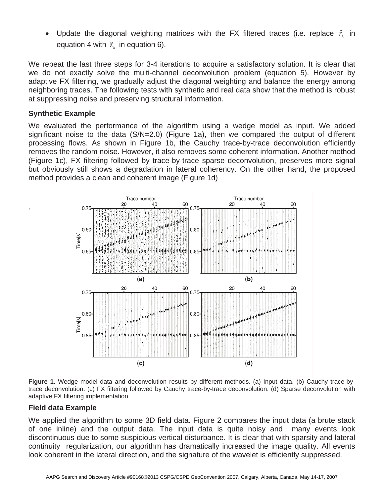Update the diagonal weighting matrices with the FX filtered traces (i.e. replace  $\hat{r}_i$  in equation 4 with  $\hat{z}_k$  in equation 6).

We repeat the last three steps for 3-4 iterations to acquire a satisfactory solution. It is clear that we do not exactly solve the multi-channel deconvolution problem (equation 5). However by adaptive FX filtering, we gradually adjust the diagonal weighting and balance the energy among neighboring traces. The following tests with synthetic and real data show that the method is robust at suppressing noise and preserving structural information.

# **Synthetic Example**

.

We evaluated the performance of the algorithm using a wedge model as input. We added significant noise to the data (S/N=2.0) (Figure 1a), then we compared the output of different processing flows. As shown in Figure 1b, the Cauchy trace-by-trace deconvolution efficiently removes the random noise. However, it also removes some coherent information. Another method (Figure 1c), FX filtering followed by trace-by-trace sparse deconvolution, preserves more signal but obviously still shows a degradation in lateral coherency. On the other hand, the proposed method provides a clean and coherent image (Figure 1d)



**Figure 1.** Wedge model data and deconvolution results by different methods. (a) Input data. (b) Cauchy trace-bytrace deconvolution. (c) FX filtering followed by Cauchy trace-by-trace deconvolution. (d) Sparse deconvolution with adaptive FX filtering implementation

# **Field data Example**

We applied the algorithm to some 3D field data. Figure 2 compares the input data (a brute stack of one inline) and the output data. The input data is quite noisy and many events look discontinuous due to some suspicious vertical disturbance. It is clear that with sparsity and lateral continuity regularization, our algorithm has dramatically increased the image quality. All events look coherent in the lateral direction, and the signature of the wavelet is efficiently suppressed.